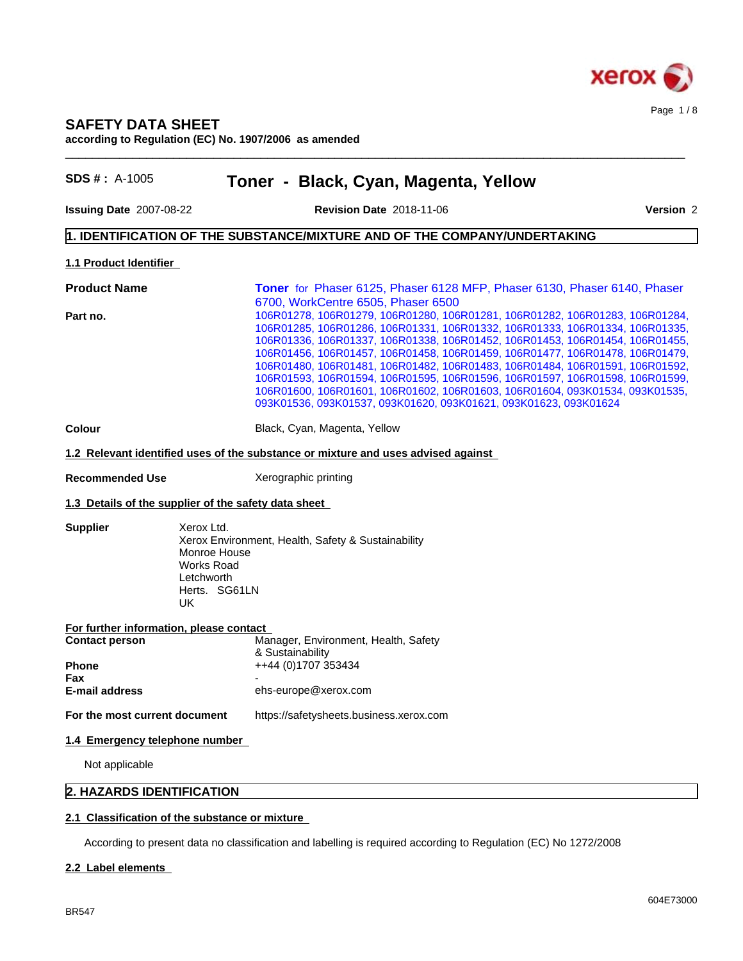

# **SAFETY DATA SHEET**

**according to Regulation (EC) No. 1907/2006 as amended**

| <b>SDS #</b> : $A-1005$                 | Toner - Black, Cyan, Magenta, Yellow                                                                                                                                                                                                                                                                                                                                                                                                                                                                                                                                                                                                                                                   |
|-----------------------------------------|----------------------------------------------------------------------------------------------------------------------------------------------------------------------------------------------------------------------------------------------------------------------------------------------------------------------------------------------------------------------------------------------------------------------------------------------------------------------------------------------------------------------------------------------------------------------------------------------------------------------------------------------------------------------------------------|
| Issuing Date 2007-08-22                 | Version 2<br><b>Revision Date 2018-11-06</b>                                                                                                                                                                                                                                                                                                                                                                                                                                                                                                                                                                                                                                           |
|                                         | 1. IDENTIFICATION OF THE SUBSTANCE/MIXTURE AND OF THE COMPANY/UNDERTAKING                                                                                                                                                                                                                                                                                                                                                                                                                                                                                                                                                                                                              |
| 1.1 Product Identifier                  |                                                                                                                                                                                                                                                                                                                                                                                                                                                                                                                                                                                                                                                                                        |
| <b>Product Name</b>                     | Toner for Phaser 6125, Phaser 6128 MFP, Phaser 6130, Phaser 6140, Phaser                                                                                                                                                                                                                                                                                                                                                                                                                                                                                                                                                                                                               |
| Part no.                                | 6700, WorkCentre 6505, Phaser 6500<br>106R01278, 106R01279, 106R01280, 106R01281, 106R01282, 106R01283, 106R01284,<br>106R01285, 106R01286, 106R01331, 106R01332, 106R01333, 106R01334, 106R01335,<br>106R01336, 106R01337, 106R01338, 106R01452, 106R01453, 106R01454, 106R01455,<br>106R01456, 106R01457, 106R01458, 106R01459, 106R01477, 106R01478, 106R01479,<br>106R01480, 106R01481, 106R01482, 106R01483, 106R01484, 106R01591, 106R01592,<br>106R01593, 106R01594, 106R01595, 106R01596, 106R01597, 106R01598, 106R01599,<br>106R01600, 106R01601, 106R01602, 106R01603, 106R01604, 093K01534, 093K01535,<br>093K01536, 093K01537, 093K01620, 093K01621, 093K01623, 093K01624 |
| Colour                                  | Black, Cyan, Magenta, Yellow                                                                                                                                                                                                                                                                                                                                                                                                                                                                                                                                                                                                                                                           |
|                                         | 1.2 Relevant identified uses of the substance or mixture and uses advised against                                                                                                                                                                                                                                                                                                                                                                                                                                                                                                                                                                                                      |
| <b>Recommended Use</b>                  | Xerographic printing                                                                                                                                                                                                                                                                                                                                                                                                                                                                                                                                                                                                                                                                   |
|                                         | 1.3 Details of the supplier of the safety data sheet                                                                                                                                                                                                                                                                                                                                                                                                                                                                                                                                                                                                                                   |
| <b>Supplier</b>                         | Xerox Ltd.<br>Xerox Environment, Health, Safety & Sustainability<br>Monroe House<br><b>Works Road</b><br>Letchworth<br>Herts. SG61LN<br>UK                                                                                                                                                                                                                                                                                                                                                                                                                                                                                                                                             |
| For further information, please contact |                                                                                                                                                                                                                                                                                                                                                                                                                                                                                                                                                                                                                                                                                        |
| <b>Contact person</b>                   | Manager, Environment, Health, Safety<br>& Sustainability                                                                                                                                                                                                                                                                                                                                                                                                                                                                                                                                                                                                                               |
| <b>Phone</b>                            | ++44 (0)1707 353434                                                                                                                                                                                                                                                                                                                                                                                                                                                                                                                                                                                                                                                                    |
| Fax<br>E-mail address                   | ehs-europe@xerox.com                                                                                                                                                                                                                                                                                                                                                                                                                                                                                                                                                                                                                                                                   |
| For the most current document           | https://safetysheets.business.xerox.com                                                                                                                                                                                                                                                                                                                                                                                                                                                                                                                                                                                                                                                |
| 1.4 Emergency telephone number          |                                                                                                                                                                                                                                                                                                                                                                                                                                                                                                                                                                                                                                                                                        |
| Not applicable                          |                                                                                                                                                                                                                                                                                                                                                                                                                                                                                                                                                                                                                                                                                        |
| 2. HAZARDS IDENTIFICATION               |                                                                                                                                                                                                                                                                                                                                                                                                                                                                                                                                                                                                                                                                                        |
|                                         | 2.1 Classification of the substance or mixture                                                                                                                                                                                                                                                                                                                                                                                                                                                                                                                                                                                                                                         |
|                                         | According to present data no classification and labelling is required according to Regulation (EC) No 1272/2008                                                                                                                                                                                                                                                                                                                                                                                                                                                                                                                                                                        |

# **2.2 Label elements**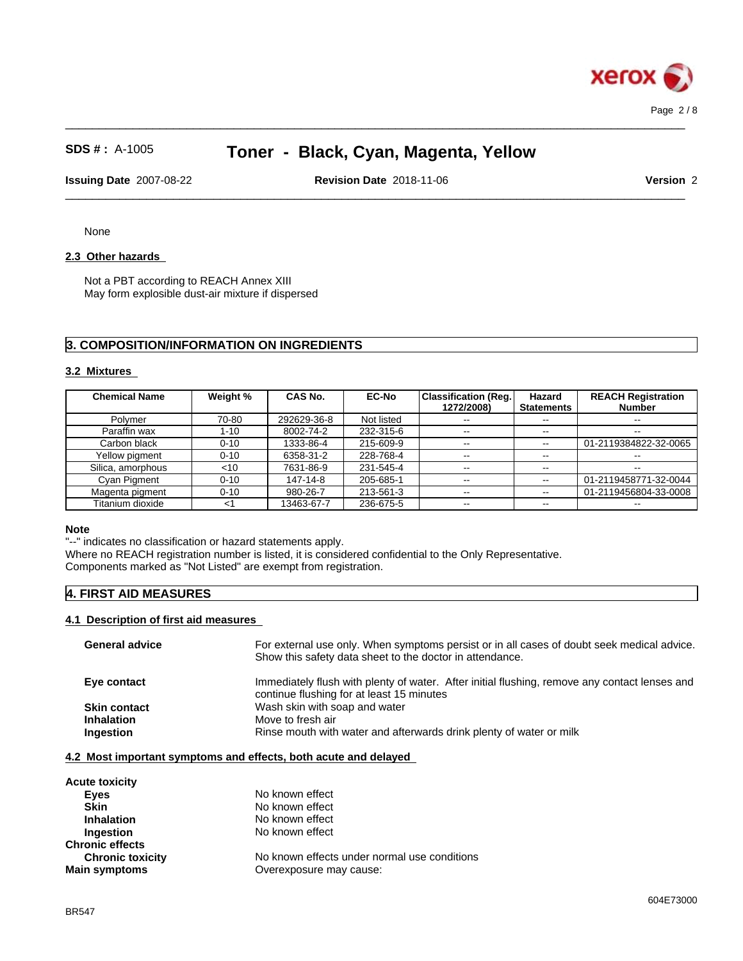

 $\_$  ,  $\_$  ,  $\_$  ,  $\_$  ,  $\_$  ,  $\_$  ,  $\_$  ,  $\_$  ,  $\_$  ,  $\_$  ,  $\_$  ,  $\_$  ,  $\_$  ,  $\_$  ,  $\_$  ,  $\_$  ,  $\_$  ,  $\_$  ,  $\_$  ,  $\_$  ,  $\_$  ,  $\_$  ,  $\_$  ,  $\_$  ,  $\_$  ,  $\_$  ,  $\_$  ,  $\_$  ,  $\_$  ,  $\_$  ,  $\_$  ,  $\_$  ,  $\_$  ,  $\_$  ,  $\_$  ,  $\_$  ,  $\_$  ,

 $\_$  ,  $\_$  ,  $\_$  ,  $\_$  ,  $\_$  ,  $\_$  ,  $\_$  ,  $\_$  ,  $\_$  ,  $\_$  ,  $\_$  ,  $\_$  ,  $\_$  ,  $\_$  ,  $\_$  ,  $\_$  ,  $\_$  ,  $\_$  ,  $\_$  ,  $\_$  ,  $\_$  ,  $\_$  ,  $\_$  ,  $\_$  ,  $\_$  ,  $\_$  ,  $\_$  ,  $\_$  ,  $\_$  ,  $\_$  ,  $\_$  ,  $\_$  ,  $\_$  ,  $\_$  ,  $\_$  ,  $\_$  ,  $\_$  , **Issuing Date** 2007-08-22 **Revision Date** 2018-11-06 **Version** 2

None

#### 2.3 Other hazards

Not a PBT according to REACH Annex XIII May form explosible dust-air mixture if dispersed

### **3. COMPOSITION/INFORMATION ON INGREDIENTS**

#### **3.2 Mixtures**

| <b>Chemical Name</b> | Weight % | CAS No.     | <b>EC-No</b> | <b>Classification (Reg.</b><br>1272/2008) | Hazard<br><b>Statements</b> | <b>REACH Registration</b><br><b>Number</b> |
|----------------------|----------|-------------|--------------|-------------------------------------------|-----------------------------|--------------------------------------------|
| Polymer              | 70-80    | 292629-36-8 | Not listed   | --                                        | $- -$                       | $\sim$                                     |
| Paraffin wax         | 1-10     | 8002-74-2   | 232-315-6    | $\sim$ $\sim$                             | $- -$                       | $\sim$                                     |
| Carbon black         | $0 - 10$ | 1333-86-4   | 215-609-9    | $\sim$ $\sim$                             | $\overline{\phantom{a}}$    | 01-2119384822-32-0065                      |
| Yellow pigment       | $0 - 10$ | 6358-31-2   | 228-768-4    | $\sim$ $\sim$                             | $\sim$ $\sim$               | $\sim$                                     |
| Silica, amorphous    | $<$ 10   | 7631-86-9   | 231-545-4    | $\sim$ $\sim$                             | $- -$                       | $\sim$                                     |
| Cyan Pigment         | $0 - 10$ | 147-14-8    | 205-685-1    | $\sim$ $\sim$                             | $\sim$ $\sim$               | 01-2119458771-32-0044                      |
| Magenta pigment      | $0 - 10$ | 980-26-7    | 213-561-3    | $\sim$ $\sim$                             | $\sim$ $\sim$               | 01-2119456804-33-0008                      |
| Titanium dioxide     | <1       | 13463-67-7  | 236-675-5    | $\sim$ $\sim$                             | $- -$                       | $\sim$                                     |

#### **Note**

"--" indicates no classification or hazard statements apply.

Where no REACH registration number is listed, it is considered confidential to the Only Representative.

Components marked as "Not Listed" are exempt from registration.

# **4. FIRST AID MEASURES**

### **4.1 Description of first aid measures**

| <b>General advice</b>          | For external use only. When symptoms persist or in all cases of doubt seek medical advice.<br>Show this safety data sheet to the doctor in attendance. |
|--------------------------------|--------------------------------------------------------------------------------------------------------------------------------------------------------|
| Eye contact                    | Immediately flush with plenty of water. After initial flushing, remove any contact lenses and<br>continue flushing for at least 15 minutes             |
| <b>Skin contact</b>            | Wash skin with soap and water                                                                                                                          |
| <b>Inhalation</b><br>Ingestion | Move to fresh air<br>Rinse mouth with water and afterwards drink plenty of water or milk                                                               |
|                                |                                                                                                                                                        |

#### **4.2 Most important symptoms and effects, both acute and delayed**

| <b>Acute toxicity</b>   |                                              |
|-------------------------|----------------------------------------------|
| Eyes                    | No known effect                              |
| <b>Skin</b>             | No known effect                              |
| <b>Inhalation</b>       | No known effect                              |
| Ingestion               | No known effect                              |
| <b>Chronic effects</b>  |                                              |
| <b>Chronic toxicity</b> | No known effects under normal use conditions |
| <b>Main symptoms</b>    | Overexposure may cause:                      |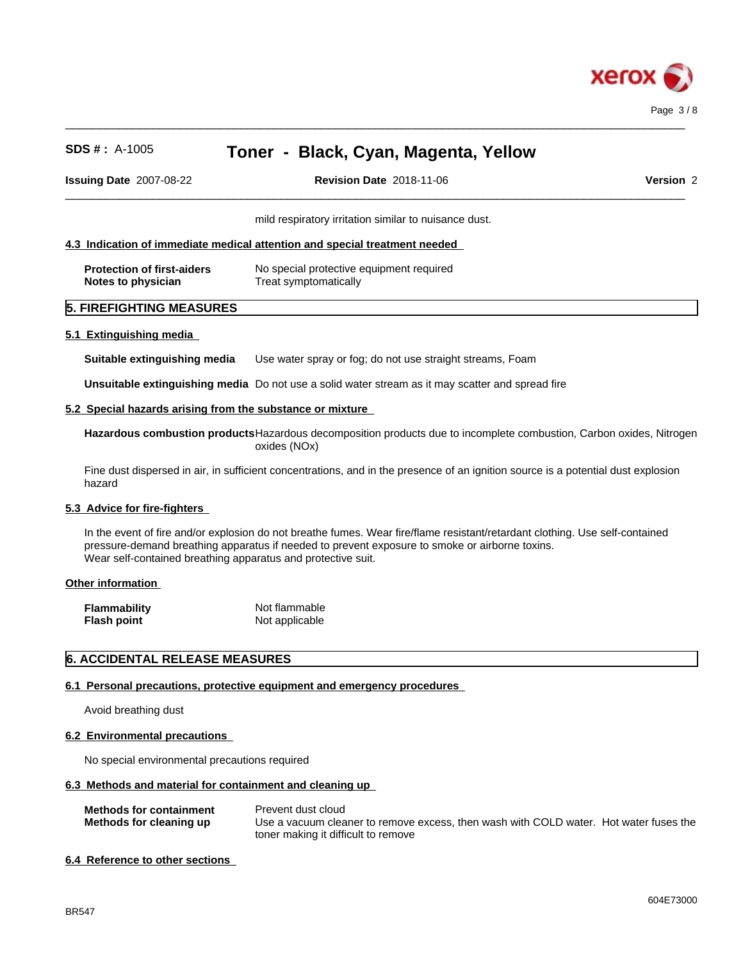

**Issuing Date** 2007-08-22 **Revision Date** 2018-11-06 **Version** 2

 $\_$  ,  $\_$  ,  $\_$  ,  $\_$  ,  $\_$  ,  $\_$  ,  $\_$  ,  $\_$  ,  $\_$  ,  $\_$  ,  $\_$  ,  $\_$  ,  $\_$  ,  $\_$  ,  $\_$  ,  $\_$  ,  $\_$  ,  $\_$  ,  $\_$  ,  $\_$  ,  $\_$  ,  $\_$  ,  $\_$  ,  $\_$  ,  $\_$  ,  $\_$  ,  $\_$  ,  $\_$  ,  $\_$  ,  $\_$  ,  $\_$  ,  $\_$  ,  $\_$  ,  $\_$  ,  $\_$  ,  $\_$  ,  $\_$  ,

 $\_$  ,  $\_$  ,  $\_$  ,  $\_$  ,  $\_$  ,  $\_$  ,  $\_$  ,  $\_$  ,  $\_$  ,  $\_$  ,  $\_$  ,  $\_$  ,  $\_$  ,  $\_$  ,  $\_$  ,  $\_$  ,  $\_$  ,  $\_$  ,  $\_$  ,  $\_$  ,  $\_$  ,  $\_$  ,  $\_$  ,  $\_$  ,  $\_$  ,  $\_$  ,  $\_$  ,  $\_$  ,  $\_$  ,  $\_$  ,  $\_$  ,  $\_$  ,  $\_$  ,  $\_$  ,  $\_$  ,  $\_$  ,  $\_$  ,

mild respiratory irritation similar to nuisance dust.

#### **4.3 Indication of immediate medical attention and special treatment needed**

| <b>Protection of first-aiders</b> | No special protective equipment required |
|-----------------------------------|------------------------------------------|
| Notes to physician                | Treat symptomatically                    |

### **5. FIREFIGHTING MEASURES**

#### **5.1 Extinguishing media**

**Suitable extinguishing media** Use water spray or fog; do not use straight streams, Foam

**Unsuitable extinguishing media** Do not use a solid water stream as it may scatterand spread fire

#### **5.2 Special hazards arising from the substance or mixture**

**Hazardous combustion products**Hazardous decomposition products due to incomplete combustion, Carbon oxides, Nitrogen oxides (NOx)

Fine dust dispersed in air, in sufficient concentrations, and in the presence of an ignition source is a potential dust explosion hazard

#### **5.3 Advice for fire-fighters**

In the event of fire and/or explosion do not breathe fumes. Wear fire/flame resistant/retardant clothing. Use self-contained pressure-demand breathing apparatus if needed to prevent exposure to smoke or airborne toxins. Wear self-contained breathing apparatus and protective suit.

#### **Other information**

| <b>Flammability</b> | Not flammable  |
|---------------------|----------------|
| <b>Flash point</b>  | Not applicable |

#### **6. ACCIDENTAL RELEASE MEASURES**

#### **6.1 Personal precautions, protective equipment and emergency procedures**

Avoid breathing dust

#### **6.2 Environmental precautions**

No special environmental precautions required

#### **6.3 Methods and material for containment and cleaning up**

| <b>Methods for containment</b> | Prevent dust cloud                                                                    |
|--------------------------------|---------------------------------------------------------------------------------------|
| Methods for cleaning up        | Use a vacuum cleaner to remove excess, then wash with COLD water. Hot water fuses the |
|                                | toner making it difficult to remove                                                   |

#### **6.4 Reference to other sections**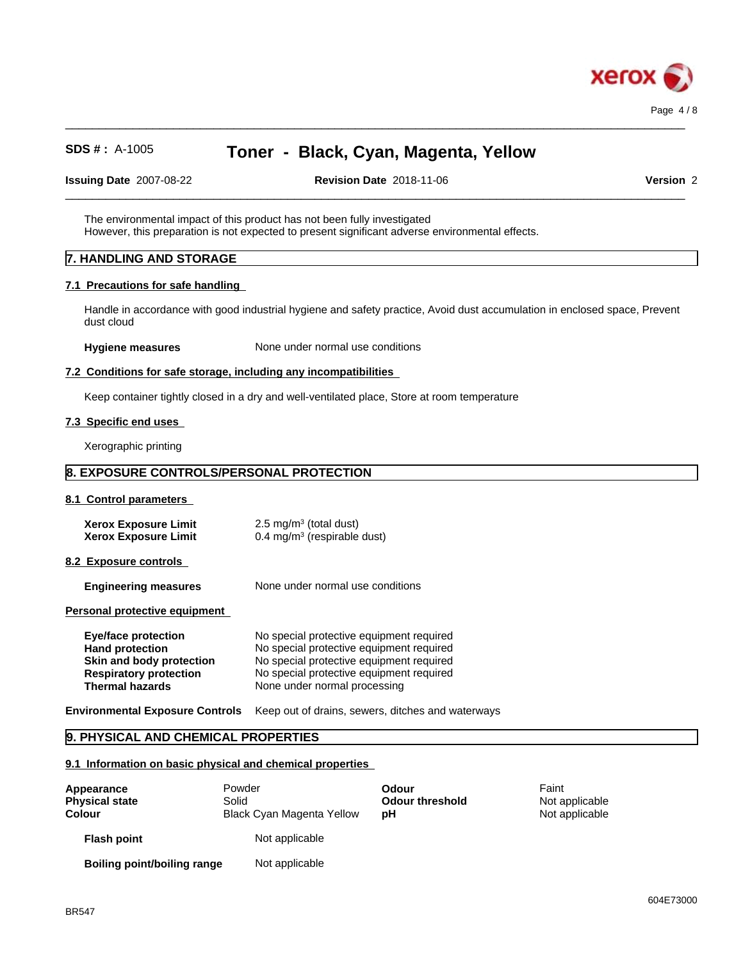

**Issuing Date** 2007-08-22 **Revision Date** 2018-11-06 **Version** 2

 $\_$  ,  $\_$  ,  $\_$  ,  $\_$  ,  $\_$  ,  $\_$  ,  $\_$  ,  $\_$  ,  $\_$  ,  $\_$  ,  $\_$  ,  $\_$  ,  $\_$  ,  $\_$  ,  $\_$  ,  $\_$  ,  $\_$  ,  $\_$  ,  $\_$  ,  $\_$  ,  $\_$  ,  $\_$  ,  $\_$  ,  $\_$  ,  $\_$  ,  $\_$  ,  $\_$  ,  $\_$  ,  $\_$  ,  $\_$  ,  $\_$  ,  $\_$  ,  $\_$  ,  $\_$  ,  $\_$  ,  $\_$  ,  $\_$  ,

 $\_$  ,  $\_$  ,  $\_$  ,  $\_$  ,  $\_$  ,  $\_$  ,  $\_$  ,  $\_$  ,  $\_$  ,  $\_$  ,  $\_$  ,  $\_$  ,  $\_$  ,  $\_$  ,  $\_$  ,  $\_$  ,  $\_$  ,  $\_$  ,  $\_$  ,  $\_$  ,  $\_$  ,  $\_$  ,  $\_$  ,  $\_$  ,  $\_$  ,  $\_$  ,  $\_$  ,  $\_$  ,  $\_$  ,  $\_$  ,  $\_$  ,  $\_$  ,  $\_$  ,  $\_$  ,  $\_$  ,  $\_$  ,  $\_$  ,

The environmental impact of this product has not been fully investigated However, this preparation is not expected to present significant adverse environmental effects.

#### **7. HANDLING AND STORAGE**

#### **7.1 Precautions for safe handling**

Handle in accordance with good industrial hygiene and safety practice, Avoid dust accumulation in enclosed space, Prevent dust cloud

**Hygiene measures** None under normal use conditions

#### **7.2 Conditions for safe storage, including any incompatibilities**

Keep container tightly closed in a dry and well-ventilated place, Store at room temperature

#### **7.3 Specific end uses**

Xerographic printing

## **8. EXPOSURE CONTROLS/PERSONAL PROTECTION**

**8.1 Control parameters**

| Xerox Exposure Limit | $2.5 \text{ mg/m}^3$ (total dust)      |
|----------------------|----------------------------------------|
| Xerox Exposure Limit | $0.4 \text{ mg/m}^3$ (respirable dust) |

**8.2 Exposure controls**

**Engineering measures** None under normal use conditions

**Personal protective equipment**

| Eye/face protection           | No special protective equipment required |
|-------------------------------|------------------------------------------|
| <b>Hand protection</b>        | No special protective equipment required |
| Skin and body protection      | No special protective equipment required |
| <b>Respiratory protection</b> | No special protective equipment required |
| <b>Thermal hazards</b>        | None under normal processing             |
|                               |                                          |

**Environmental Exposure Controls** Keep out of drains, sewers, ditches and waterways

### **9. PHYSICAL AND CHEMICAL PROPERTIES**

**9.1 Information on basic physical and chemical properties**

| Appearance<br><b>Physical state</b><br>Colour | Powder<br>Solid<br><b>Black Cyan Magenta Yellow</b> | Odour<br><b>Odour threshold</b><br>рH | Faint<br>Not applicable<br>Not applicable |  |
|-----------------------------------------------|-----------------------------------------------------|---------------------------------------|-------------------------------------------|--|
| <b>Flash point</b>                            | Not applicable                                      |                                       |                                           |  |
| <b>Boiling point/boiling range</b>            | Not applicable                                      |                                       |                                           |  |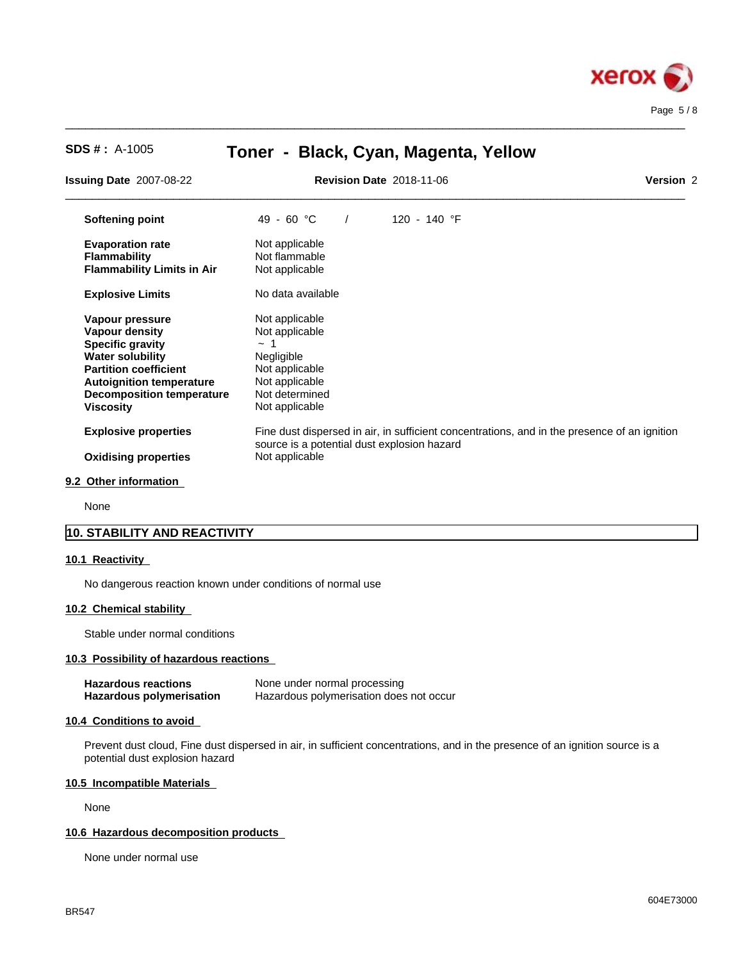

 $\_$  ,  $\_$  ,  $\_$  ,  $\_$  ,  $\_$  ,  $\_$  ,  $\_$  ,  $\_$  ,  $\_$  ,  $\_$  ,  $\_$  ,  $\_$  ,  $\_$  ,  $\_$  ,  $\_$  ,  $\_$  ,  $\_$  ,  $\_$  ,  $\_$  ,  $\_$  ,  $\_$  ,  $\_$  ,  $\_$  ,  $\_$  ,  $\_$  ,  $\_$  ,  $\_$  ,  $\_$  ,  $\_$  ,  $\_$  ,  $\_$  ,  $\_$  ,  $\_$  ,  $\_$  ,  $\_$  ,  $\_$  ,  $\_$  ,

| <b>Issuing Date 2007-08-22</b>    | <b>Revision Date 2018-11-06</b>                                                                                                             | Version 2 |
|-----------------------------------|---------------------------------------------------------------------------------------------------------------------------------------------|-----------|
| Softening point                   | 49 - 60 °C<br>120 - 140 °F                                                                                                                  |           |
| <b>Evaporation rate</b>           | Not applicable                                                                                                                              |           |
| <b>Flammability</b>               | Not flammable                                                                                                                               |           |
| <b>Flammability Limits in Air</b> | Not applicable                                                                                                                              |           |
| <b>Explosive Limits</b>           | No data available                                                                                                                           |           |
| Vapour pressure                   | Not applicable                                                                                                                              |           |
| <b>Vapour density</b>             | Not applicable                                                                                                                              |           |
| <b>Specific gravity</b>           | $\sim$ 1                                                                                                                                    |           |
| <b>Water solubility</b>           | Negligible                                                                                                                                  |           |
| <b>Partition coefficient</b>      | Not applicable                                                                                                                              |           |
| <b>Autoignition temperature</b>   | Not applicable                                                                                                                              |           |
| <b>Decomposition temperature</b>  | Not determined                                                                                                                              |           |
| <b>Viscosity</b>                  | Not applicable                                                                                                                              |           |
| <b>Explosive properties</b>       | Fine dust dispersed in air, in sufficient concentrations, and in the presence of an ignition<br>source is a potential dust explosion hazard |           |
| <b>Oxidising properties</b>       | Not applicable                                                                                                                              |           |

#### **9.2 Other information**

None

# **10. STABILITY AND REACTIVITY**

#### **10.1 Reactivity**

No dangerous reaction known under conditions of normal use

#### **10.2 Chemical stability**

Stable under normal conditions

#### **10.3 Possibility of hazardous reactions**

| <b>Hazardous reactions</b> | None under normal processing            |
|----------------------------|-----------------------------------------|
| Hazardous polymerisation   | Hazardous polymerisation does not occur |

#### **10.4 Conditions to avoid**

Prevent dust cloud, Fine dust dispersed in air, in sufficient concentrations, and in the presence of an ignition source is a potential dust explosion hazard

#### **10.5 Incompatible Materials**

None

#### **10.6 Hazardous decomposition products**

None under normal use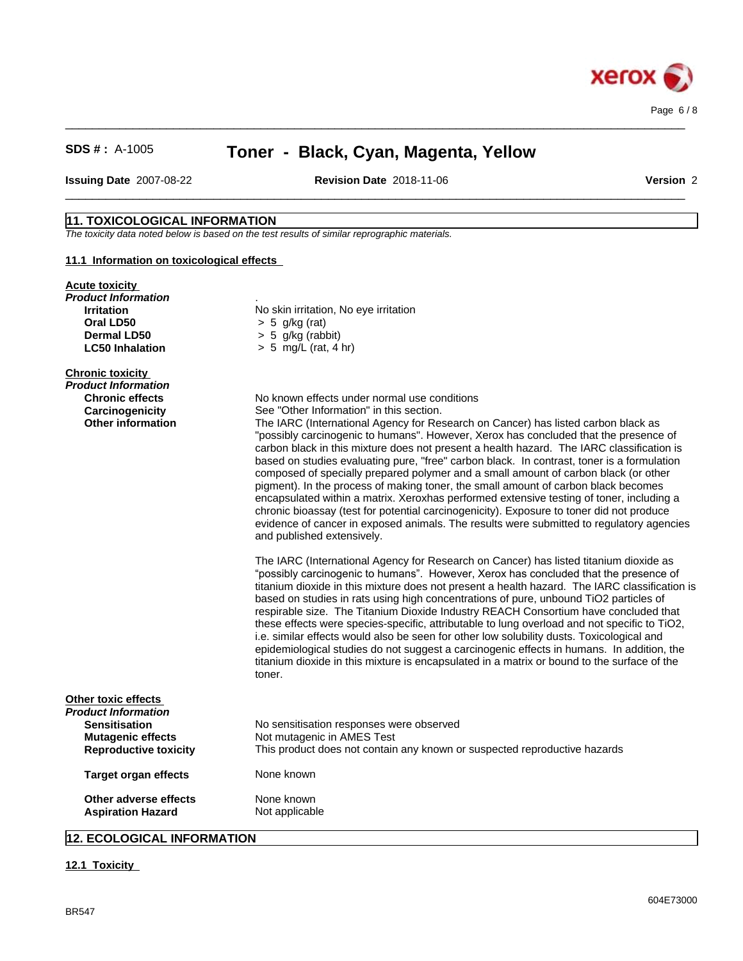

 $\_$  ,  $\_$  ,  $\_$  ,  $\_$  ,  $\_$  ,  $\_$  ,  $\_$  ,  $\_$  ,  $\_$  ,  $\_$  ,  $\_$  ,  $\_$  ,  $\_$  ,  $\_$  ,  $\_$  ,  $\_$  ,  $\_$  ,  $\_$  ,  $\_$  ,  $\_$  ,  $\_$  ,  $\_$  ,  $\_$  ,  $\_$  ,  $\_$  ,  $\_$  ,  $\_$  ,  $\_$  ,  $\_$  ,  $\_$  ,  $\_$  ,  $\_$  ,  $\_$  ,  $\_$  ,  $\_$  ,  $\_$  ,  $\_$  ,

 $\_$  ,  $\_$  ,  $\_$  ,  $\_$  ,  $\_$  ,  $\_$  ,  $\_$  ,  $\_$  ,  $\_$  ,  $\_$  ,  $\_$  ,  $\_$  ,  $\_$  ,  $\_$  ,  $\_$  ,  $\_$  ,  $\_$  ,  $\_$  ,  $\_$  ,  $\_$  ,  $\_$  ,  $\_$  ,  $\_$  ,  $\_$  ,  $\_$  ,  $\_$  ,  $\_$  ,  $\_$  ,  $\_$  ,  $\_$  ,  $\_$  ,  $\_$  ,  $\_$  ,  $\_$  ,  $\_$  ,  $\_$  ,  $\_$  ,

**Issuing Date** 2007-08-22 **Revision Date** 2018-11-06 **Version** 2

## **11. TOXICOLOGICAL INFORMATION**

*The toxicity data noted below is based on the test results of similar reprographic materials.*

#### **11.1 Information on toxicologicaleffects**

#### **Acute toxicity**

| <b>Product Information</b><br><b>Irritation</b> | No skin irritation, No eye irritation                                                                                                                                                |
|-------------------------------------------------|--------------------------------------------------------------------------------------------------------------------------------------------------------------------------------------|
| Oral LD50                                       | $> 5$ g/kg (rat)                                                                                                                                                                     |
| Dermal LD50                                     | $> 5$ g/kg (rabbit)                                                                                                                                                                  |
| <b>LC50 Inhalation</b>                          | $> 5$ mg/L (rat, 4 hr)                                                                                                                                                               |
| <b>Chronic toxicity</b>                         |                                                                                                                                                                                      |
| <b>Product Information</b>                      |                                                                                                                                                                                      |
| <b>Chronic effects</b>                          | No known effects under normal use conditions<br>See "Other Information" in this section.                                                                                             |
| Carcinogenicity<br><b>Other information</b>     | The IARC (International Agency for Research on Cancer) has listed carbon black as                                                                                                    |
|                                                 | "possibly carcinogenic to humans". However, Xerox has concluded that the presence of                                                                                                 |
|                                                 | carbon black in this mixture does not present a health hazard. The IARC classification is                                                                                            |
|                                                 | based on studies evaluating pure, "free" carbon black. In contrast, toner is a formulation                                                                                           |
|                                                 | composed of specially prepared polymer and a small amount of carbon black (or other                                                                                                  |
|                                                 | pigment). In the process of making toner, the small amount of carbon black becomes                                                                                                   |
|                                                 | encapsulated within a matrix. Xeroxhas performed extensive testing of toner, including a                                                                                             |
|                                                 | chronic bioassay (test for potential carcinogenicity). Exposure to toner did not produce<br>evidence of cancer in exposed animals. The results were submitted to regulatory agencies |
|                                                 | and published extensively.                                                                                                                                                           |
|                                                 | The IARC (International Agency for Research on Cancer) has listed titanium dioxide as                                                                                                |
|                                                 | "possibly carcinogenic to humans". However, Xerox has concluded that the presence of                                                                                                 |
|                                                 | titanium dioxide in this mixture does not present a health hazard. The IARC classification is                                                                                        |
|                                                 | based on studies in rats using high concentrations of pure, unbound TiO2 particles of<br>respirable size. The Titanium Dioxide Industry REACH Consortium have concluded that         |
|                                                 | these effects were species-specific, attributable to lung overload and not specific to TiO2,                                                                                         |
|                                                 | i.e. similar effects would also be seen for other low solubility dusts. Toxicological and                                                                                            |
|                                                 | epidemiological studies do not suggest a carcinogenic effects in humans. In addition, the                                                                                            |
|                                                 | titanium dioxide in this mixture is encapsulated in a matrix or bound to the surface of the                                                                                          |
|                                                 | toner.                                                                                                                                                                               |
| Other toxic effects                             |                                                                                                                                                                                      |
| Product Information                             |                                                                                                                                                                                      |
| <b>Sensitisation</b>                            | No sensitisation responses were observed                                                                                                                                             |
| <b>Mutagenic effects</b>                        | Not mutagenic in AMES Test                                                                                                                                                           |
| <b>Reproductive toxicity</b>                    | This product does not contain any known or suspected reproductive hazards                                                                                                            |
| <b>Target organ effects</b>                     | None known                                                                                                                                                                           |
| Other adverse effects                           | None known                                                                                                                                                                           |
| <b>Aspiration Hazard</b>                        | Not applicable                                                                                                                                                                       |

# **12. ECOLOGICAL INFORMATION**

#### **12.1 Toxicity**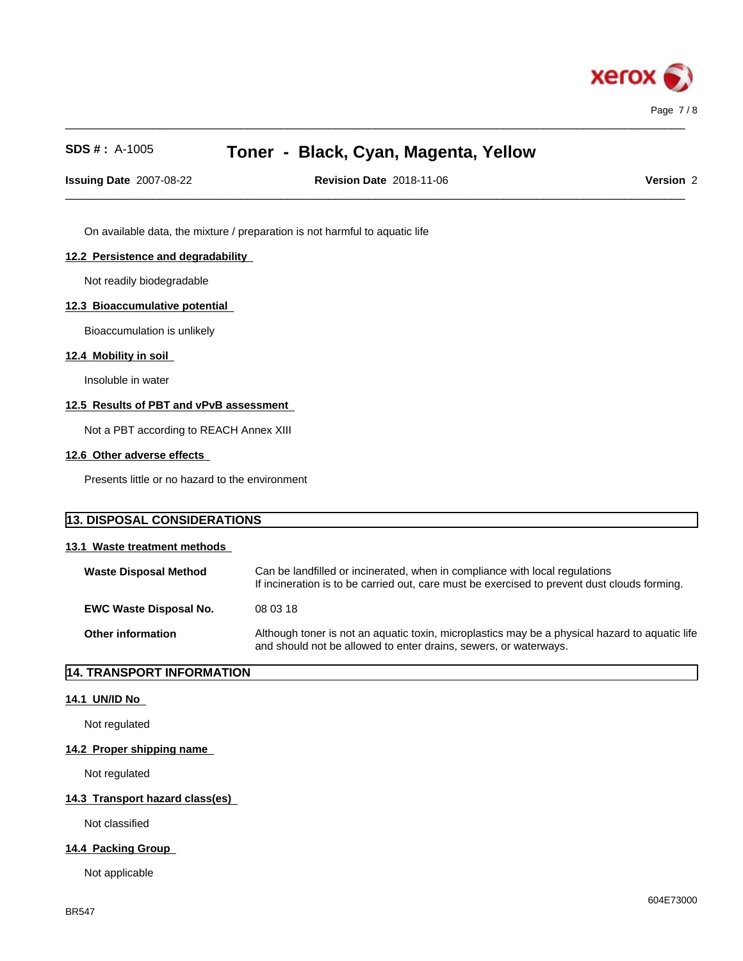

**Issuing Date** 2007-08-22 **Revision Date** 2018-11-06 **Version** 2

 $\_$  ,  $\_$  ,  $\_$  ,  $\_$  ,  $\_$  ,  $\_$  ,  $\_$  ,  $\_$  ,  $\_$  ,  $\_$  ,  $\_$  ,  $\_$  ,  $\_$  ,  $\_$  ,  $\_$  ,  $\_$  ,  $\_$  ,  $\_$  ,  $\_$  ,  $\_$  ,  $\_$  ,  $\_$  ,  $\_$  ,  $\_$  ,  $\_$  ,  $\_$  ,  $\_$  ,  $\_$  ,  $\_$  ,  $\_$  ,  $\_$  ,  $\_$  ,  $\_$  ,  $\_$  ,  $\_$  ,  $\_$  ,  $\_$  ,

 $\_$  ,  $\_$  ,  $\_$  ,  $\_$  ,  $\_$  ,  $\_$  ,  $\_$  ,  $\_$  ,  $\_$  ,  $\_$  ,  $\_$  ,  $\_$  ,  $\_$  ,  $\_$  ,  $\_$  ,  $\_$  ,  $\_$  ,  $\_$  ,  $\_$  ,  $\_$  ,  $\_$  ,  $\_$  ,  $\_$  ,  $\_$  ,  $\_$  ,  $\_$  ,  $\_$  ,  $\_$  ,  $\_$  ,  $\_$  ,  $\_$  ,  $\_$  ,  $\_$  ,  $\_$  ,  $\_$  ,  $\_$  ,  $\_$  ,

On available data, the mixture / preparation is not harmful to aquatic life

#### **12.2 Persistence and degradability**

Not readily biodegradable

#### **12.3 Bioaccumulative potential**

Bioaccumulation is unlikely

#### **12.4 Mobility in soil**

Insoluble in water

#### **12.5 Results of PBT and vPvB assessment**

Not a PBT according to REACH Annex XIII

#### **12.6 Other adverse effects**

Presents little or no hazard to the environment

| 13. DISPOSAL CONSIDERATIONS<br>13.1 Waste treatment methods |                                                                                                                                                                    |  |
|-------------------------------------------------------------|--------------------------------------------------------------------------------------------------------------------------------------------------------------------|--|
|                                                             |                                                                                                                                                                    |  |
| <b>EWC Waste Disposal No.</b>                               | 08 03 18                                                                                                                                                           |  |
| Other information                                           | Although toner is not an aquatic toxin, microplastics may be a physical hazard to aquatic life<br>and should not be allowed to enter drains, sewers, or waterways. |  |

## **14. TRANSPORT INFORMATION**

#### **14.1 UN/ID No**

Not regulated

#### **14.2 Proper shipping name**

Not regulated

#### **14.3 Transport hazard class(es)**

Not classified

#### **14.4 Packing Group**

Not applicable